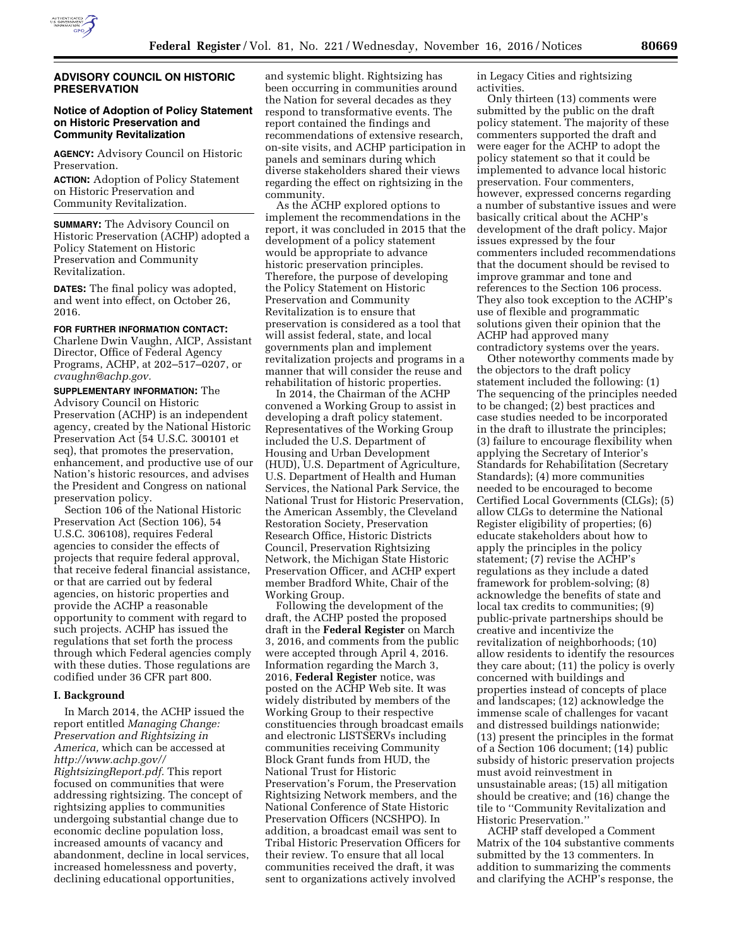

### **ADVISORY COUNCIL ON HISTORIC PRESERVATION**

# **Notice of Adoption of Policy Statement on Historic Preservation and Community Revitalization**

**AGENCY:** Advisory Council on Historic Preservation.

**ACTION:** Adoption of Policy Statement on Historic Preservation and Community Revitalization.

**SUMMARY:** The Advisory Council on Historic Preservation (ACHP) adopted a Policy Statement on Historic Preservation and Community Revitalization.

**DATES:** The final policy was adopted, and went into effect, on October 26, 2016.

#### **FOR FURTHER INFORMATION CONTACT:**

Charlene Dwin Vaughn, AICP, Assistant Director, Office of Federal Agency Programs, ACHP, at 202–517–0207, or *[cvaughn@achp.gov.](mailto:cvaughn@achp.gov)* 

**SUPPLEMENTARY INFORMATION:** The Advisory Council on Historic Preservation (ACHP) is an independent agency, created by the National Historic Preservation Act (54 U.S.C. 300101 et seq), that promotes the preservation, enhancement, and productive use of our Nation's historic resources, and advises the President and Congress on national preservation policy.

Section 106 of the National Historic Preservation Act (Section 106), 54 U.S.C. 306108), requires Federal agencies to consider the effects of projects that require federal approval, that receive federal financial assistance, or that are carried out by federal agencies, on historic properties and provide the ACHP a reasonable opportunity to comment with regard to such projects. ACHP has issued the regulations that set forth the process through which Federal agencies comply with these duties. Those regulations are codified under 36 CFR part 800.

#### **I. Background**

In March 2014, the ACHP issued the report entitled *Managing Change: Preservation and Rightsizing in America,* which can be accessed at *[http://www.achp.gov//](http://www.achp.gov//RightsizingReport.pdf) [RightsizingReport.pdf.](http://www.achp.gov//RightsizingReport.pdf)* This report focused on communities that were addressing rightsizing. The concept of rightsizing applies to communities undergoing substantial change due to economic decline population loss, increased amounts of vacancy and abandonment, decline in local services, increased homelessness and poverty, declining educational opportunities,

and systemic blight. Rightsizing has been occurring in communities around the Nation for several decades as they respond to transformative events. The report contained the findings and recommendations of extensive research, on-site visits, and ACHP participation in panels and seminars during which diverse stakeholders shared their views regarding the effect on rightsizing in the community.

As the ACHP explored options to implement the recommendations in the report, it was concluded in 2015 that the development of a policy statement would be appropriate to advance historic preservation principles. Therefore, the purpose of developing the Policy Statement on Historic Preservation and Community Revitalization is to ensure that preservation is considered as a tool that will assist federal, state, and local governments plan and implement revitalization projects and programs in a manner that will consider the reuse and rehabilitation of historic properties.

In 2014, the Chairman of the ACHP convened a Working Group to assist in developing a draft policy statement. Representatives of the Working Group included the U.S. Department of Housing and Urban Development (HUD), U.S. Department of Agriculture, U.S. Department of Health and Human Services, the National Park Service, the National Trust for Historic Preservation, the American Assembly, the Cleveland Restoration Society, Preservation Research Office, Historic Districts Council, Preservation Rightsizing Network, the Michigan State Historic Preservation Officer, and ACHP expert member Bradford White, Chair of the Working Group.

Following the development of the draft, the ACHP posted the proposed draft in the **Federal Register** on March 3, 2016, and comments from the public were accepted through April 4, 2016. Information regarding the March 3, 2016, **Federal Register** notice, was posted on the ACHP Web site. It was widely distributed by members of the Working Group to their respective constituencies through broadcast emails and electronic LISTSERVs including communities receiving Community Block Grant funds from HUD, the National Trust for Historic Preservation's Forum, the Preservation Rightsizing Network members, and the National Conference of State Historic Preservation Officers (NCSHPO). In addition, a broadcast email was sent to Tribal Historic Preservation Officers for their review. To ensure that all local communities received the draft, it was sent to organizations actively involved

in Legacy Cities and rightsizing activities.

Only thirteen (13) comments were submitted by the public on the draft policy statement. The majority of these commenters supported the draft and were eager for the ACHP to adopt the policy statement so that it could be implemented to advance local historic preservation. Four commenters, however, expressed concerns regarding a number of substantive issues and were basically critical about the ACHP's development of the draft policy. Major issues expressed by the four commenters included recommendations that the document should be revised to improve grammar and tone and references to the Section 106 process. They also took exception to the ACHP's use of flexible and programmatic solutions given their opinion that the ACHP had approved many contradictory systems over the years.

Other noteworthy comments made by the objectors to the draft policy statement included the following: (1) The sequencing of the principles needed to be changed; (2) best practices and case studies needed to be incorporated in the draft to illustrate the principles; (3) failure to encourage flexibility when applying the Secretary of Interior's Standards for Rehabilitation (Secretary Standards); (4) more communities needed to be encouraged to become Certified Local Governments (CLGs); (5) allow CLGs to determine the National Register eligibility of properties; (6) educate stakeholders about how to apply the principles in the policy statement; (7) revise the ACHP's regulations as they include a dated framework for problem-solving; (8) acknowledge the benefits of state and local tax credits to communities; (9) public-private partnerships should be creative and incentivize the revitalization of neighborhoods; (10) allow residents to identify the resources they care about; (11) the policy is overly concerned with buildings and properties instead of concepts of place and landscapes; (12) acknowledge the immense scale of challenges for vacant and distressed buildings nationwide; (13) present the principles in the format of a Section 106 document; (14) public subsidy of historic preservation projects must avoid reinvestment in unsustainable areas; (15) all mitigation should be creative; and (16) change the tile to ''Community Revitalization and Historic Preservation.''

ACHP staff developed a Comment Matrix of the 104 substantive comments submitted by the 13 commenters. In addition to summarizing the comments and clarifying the ACHP's response, the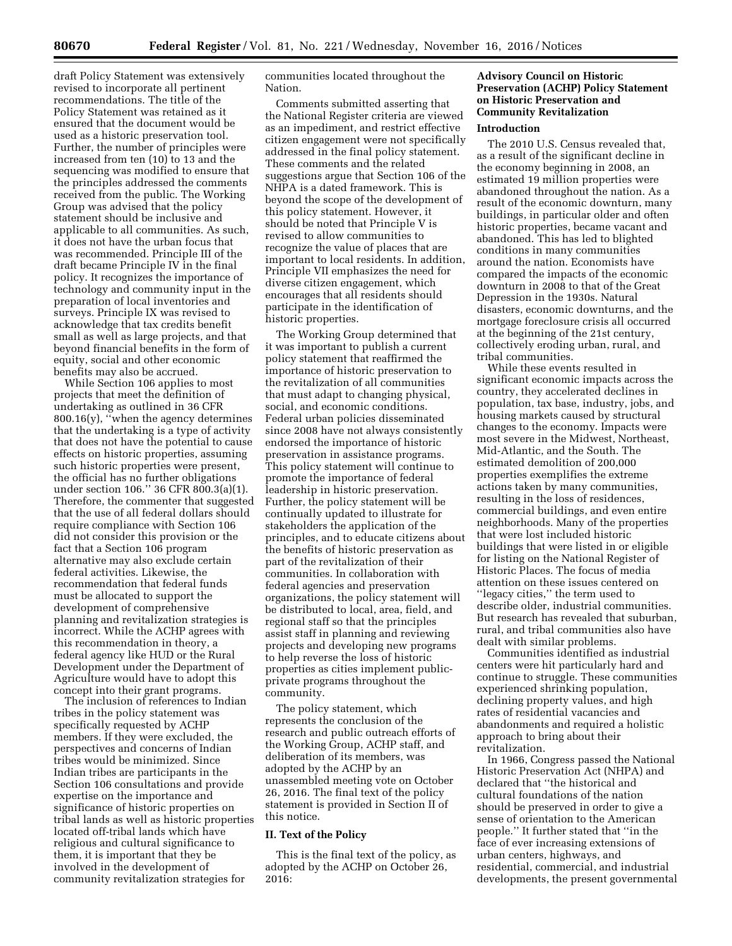draft Policy Statement was extensively revised to incorporate all pertinent recommendations. The title of the Policy Statement was retained as it ensured that the document would be used as a historic preservation tool. Further, the number of principles were increased from ten (10) to 13 and the sequencing was modified to ensure that the principles addressed the comments received from the public. The Working Group was advised that the policy statement should be inclusive and applicable to all communities. As such, it does not have the urban focus that was recommended. Principle III of the draft became Principle IV in the final policy. It recognizes the importance of technology and community input in the preparation of local inventories and surveys. Principle IX was revised to acknowledge that tax credits benefit small as well as large projects, and that beyond financial benefits in the form of equity, social and other economic benefits may also be accrued.

While Section 106 applies to most projects that meet the definition of undertaking as outlined in 36 CFR 800.16(y), ''when the agency determines that the undertaking is a type of activity that does not have the potential to cause effects on historic properties, assuming such historic properties were present, the official has no further obligations under section 106.'' 36 CFR 800.3(a)(1). Therefore, the commenter that suggested that the use of all federal dollars should require compliance with Section 106 did not consider this provision or the fact that a Section 106 program alternative may also exclude certain federal activities. Likewise, the recommendation that federal funds must be allocated to support the development of comprehensive planning and revitalization strategies is incorrect. While the ACHP agrees with this recommendation in theory, a federal agency like HUD or the Rural Development under the Department of Agriculture would have to adopt this concept into their grant programs.

The inclusion of references to Indian tribes in the policy statement was specifically requested by ACHP members. If they were excluded, the perspectives and concerns of Indian tribes would be minimized. Since Indian tribes are participants in the Section 106 consultations and provide expertise on the importance and significance of historic properties on tribal lands as well as historic properties located off-tribal lands which have religious and cultural significance to them, it is important that they be involved in the development of community revitalization strategies for

communities located throughout the Nation.

Comments submitted asserting that the National Register criteria are viewed as an impediment, and restrict effective citizen engagement were not specifically addressed in the final policy statement. These comments and the related suggestions argue that Section 106 of the NHPA is a dated framework. This is beyond the scope of the development of this policy statement. However, it should be noted that Principle V is revised to allow communities to recognize the value of places that are important to local residents. In addition, Principle VII emphasizes the need for diverse citizen engagement, which encourages that all residents should participate in the identification of historic properties.

The Working Group determined that it was important to publish a current policy statement that reaffirmed the importance of historic preservation to the revitalization of all communities that must adapt to changing physical, social, and economic conditions. Federal urban policies disseminated since 2008 have not always consistently endorsed the importance of historic preservation in assistance programs. This policy statement will continue to promote the importance of federal leadership in historic preservation. Further, the policy statement will be continually updated to illustrate for stakeholders the application of the principles, and to educate citizens about the benefits of historic preservation as part of the revitalization of their communities. In collaboration with federal agencies and preservation organizations, the policy statement will be distributed to local, area, field, and regional staff so that the principles assist staff in planning and reviewing projects and developing new programs to help reverse the loss of historic properties as cities implement publicprivate programs throughout the community.

The policy statement, which represents the conclusion of the research and public outreach efforts of the Working Group, ACHP staff, and deliberation of its members, was adopted by the ACHP by an unassembled meeting vote on October 26, 2016. The final text of the policy statement is provided in Section II of this notice.

#### **II. Text of the Policy**

This is the final text of the policy, as adopted by the ACHP on October 26, 2016:

# **Advisory Council on Historic Preservation (ACHP) Policy Statement on Historic Preservation and Community Revitalization**

#### **Introduction**

The 2010 U.S. Census revealed that, as a result of the significant decline in the economy beginning in 2008, an estimated 19 million properties were abandoned throughout the nation. As a result of the economic downturn, many buildings, in particular older and often historic properties, became vacant and abandoned. This has led to blighted conditions in many communities around the nation. Economists have compared the impacts of the economic downturn in 2008 to that of the Great Depression in the 1930s. Natural disasters, economic downturns, and the mortgage foreclosure crisis all occurred at the beginning of the 21st century, collectively eroding urban, rural, and tribal communities.

While these events resulted in significant economic impacts across the country, they accelerated declines in population, tax base, industry, jobs, and housing markets caused by structural changes to the economy. Impacts were most severe in the Midwest, Northeast, Mid-Atlantic, and the South. The estimated demolition of 200,000 properties exemplifies the extreme actions taken by many communities, resulting in the loss of residences, commercial buildings, and even entire neighborhoods. Many of the properties that were lost included historic buildings that were listed in or eligible for listing on the National Register of Historic Places. The focus of media attention on these issues centered on ''legacy cities,'' the term used to describe older, industrial communities. But research has revealed that suburban, rural, and tribal communities also have dealt with similar problems.

Communities identified as industrial centers were hit particularly hard and continue to struggle. These communities experienced shrinking population, declining property values, and high rates of residential vacancies and abandonments and required a holistic approach to bring about their revitalization.

In 1966, Congress passed the National Historic Preservation Act (NHPA) and declared that ''the historical and cultural foundations of the nation should be preserved in order to give a sense of orientation to the American people.'' It further stated that ''in the face of ever increasing extensions of urban centers, highways, and residential, commercial, and industrial developments, the present governmental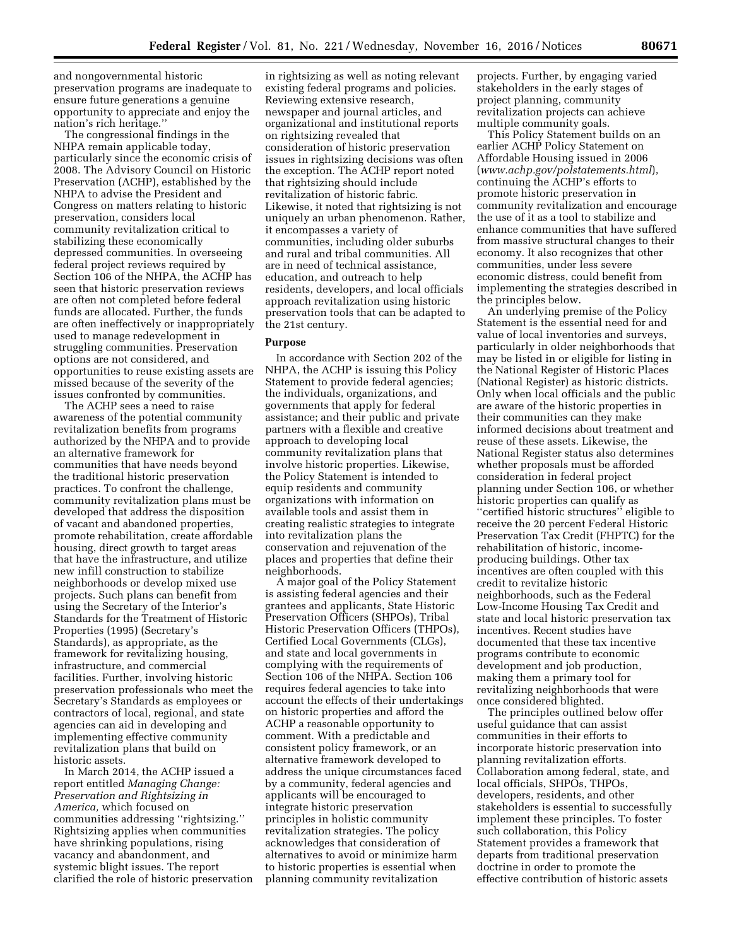and nongovernmental historic preservation programs are inadequate to ensure future generations a genuine opportunity to appreciate and enjoy the nation's rich heritage.''

The congressional findings in the NHPA remain applicable today, particularly since the economic crisis of 2008. The Advisory Council on Historic Preservation (ACHP), established by the NHPA to advise the President and Congress on matters relating to historic preservation, considers local community revitalization critical to stabilizing these economically depressed communities. In overseeing federal project reviews required by Section 106 of the NHPA, the ACHP has seen that historic preservation reviews are often not completed before federal funds are allocated. Further, the funds are often ineffectively or inappropriately used to manage redevelopment in struggling communities. Preservation options are not considered, and opportunities to reuse existing assets are missed because of the severity of the issues confronted by communities.

The ACHP sees a need to raise awareness of the potential community revitalization benefits from programs authorized by the NHPA and to provide an alternative framework for communities that have needs beyond the traditional historic preservation practices. To confront the challenge, community revitalization plans must be developed that address the disposition of vacant and abandoned properties, promote rehabilitation, create affordable housing, direct growth to target areas that have the infrastructure, and utilize new infill construction to stabilize neighborhoods or develop mixed use projects. Such plans can benefit from using the Secretary of the Interior's Standards for the Treatment of Historic Properties (1995) (Secretary's Standards), as appropriate, as the framework for revitalizing housing, infrastructure, and commercial facilities. Further, involving historic preservation professionals who meet the Secretary's Standards as employees or contractors of local, regional, and state agencies can aid in developing and implementing effective community revitalization plans that build on historic assets.

In March 2014, the ACHP issued a report entitled *Managing Change: Preservation and Rightsizing in America,* which focused on communities addressing ''rightsizing.'' Rightsizing applies when communities have shrinking populations, rising vacancy and abandonment, and systemic blight issues. The report clarified the role of historic preservation

in rightsizing as well as noting relevant existing federal programs and policies. Reviewing extensive research, newspaper and journal articles, and organizational and institutional reports on rightsizing revealed that consideration of historic preservation issues in rightsizing decisions was often the exception. The ACHP report noted that rightsizing should include revitalization of historic fabric. Likewise, it noted that rightsizing is not uniquely an urban phenomenon. Rather, it encompasses a variety of communities, including older suburbs and rural and tribal communities. All are in need of technical assistance, education, and outreach to help residents, developers, and local officials approach revitalization using historic preservation tools that can be adapted to the 21st century.

#### **Purpose**

In accordance with Section 202 of the NHPA, the ACHP is issuing this Policy Statement to provide federal agencies; the individuals, organizations, and governments that apply for federal assistance; and their public and private partners with a flexible and creative approach to developing local community revitalization plans that involve historic properties. Likewise, the Policy Statement is intended to equip residents and community organizations with information on available tools and assist them in creating realistic strategies to integrate into revitalization plans the conservation and rejuvenation of the places and properties that define their neighborhoods.

A major goal of the Policy Statement is assisting federal agencies and their grantees and applicants, State Historic Preservation Officers (SHPOs), Tribal Historic Preservation Officers (THPOs), Certified Local Governments (CLGs), and state and local governments in complying with the requirements of Section 106 of the NHPA. Section 106 requires federal agencies to take into account the effects of their undertakings on historic properties and afford the ACHP a reasonable opportunity to comment. With a predictable and consistent policy framework, or an alternative framework developed to address the unique circumstances faced by a community, federal agencies and applicants will be encouraged to integrate historic preservation principles in holistic community revitalization strategies. The policy acknowledges that consideration of alternatives to avoid or minimize harm to historic properties is essential when planning community revitalization

projects. Further, by engaging varied stakeholders in the early stages of project planning, community revitalization projects can achieve multiple community goals.

This Policy Statement builds on an earlier ACHP Policy Statement on Affordable Housing issued in 2006 (*[www.achp.gov/polstatements.html](http://www.achp.gov/polstatements.html)*), continuing the ACHP's efforts to promote historic preservation in community revitalization and encourage the use of it as a tool to stabilize and enhance communities that have suffered from massive structural changes to their economy. It also recognizes that other communities, under less severe economic distress, could benefit from implementing the strategies described in the principles below.

An underlying premise of the Policy Statement is the essential need for and value of local inventories and surveys, particularly in older neighborhoods that may be listed in or eligible for listing in the National Register of Historic Places (National Register) as historic districts. Only when local officials and the public are aware of the historic properties in their communities can they make informed decisions about treatment and reuse of these assets. Likewise, the National Register status also determines whether proposals must be afforded consideration in federal project planning under Section 106, or whether historic properties can qualify as ''certified historic structures'' eligible to receive the 20 percent Federal Historic Preservation Tax Credit (FHPTC) for the rehabilitation of historic, incomeproducing buildings. Other tax incentives are often coupled with this credit to revitalize historic neighborhoods, such as the Federal Low-Income Housing Tax Credit and state and local historic preservation tax incentives. Recent studies have documented that these tax incentive programs contribute to economic development and job production, making them a primary tool for revitalizing neighborhoods that were once considered blighted.

The principles outlined below offer useful guidance that can assist communities in their efforts to incorporate historic preservation into planning revitalization efforts. Collaboration among federal, state, and local officials, SHPOs, THPOs, developers, residents, and other stakeholders is essential to successfully implement these principles. To foster such collaboration, this Policy Statement provides a framework that departs from traditional preservation doctrine in order to promote the effective contribution of historic assets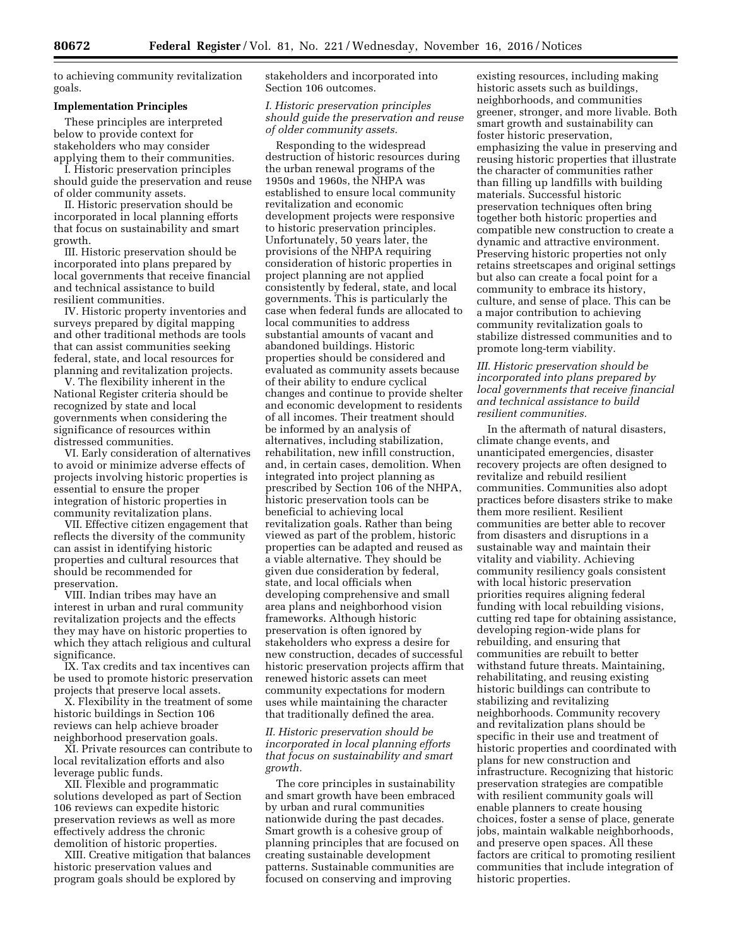to achieving community revitalization goals.

#### **Implementation Principles**

These principles are interpreted below to provide context for stakeholders who may consider applying them to their communities.

I. Historic preservation principles should guide the preservation and reuse of older community assets.

II. Historic preservation should be incorporated in local planning efforts that focus on sustainability and smart growth.

III. Historic preservation should be incorporated into plans prepared by local governments that receive financial and technical assistance to build resilient communities.

IV. Historic property inventories and surveys prepared by digital mapping and other traditional methods are tools that can assist communities seeking federal, state, and local resources for planning and revitalization projects.

V. The flexibility inherent in the National Register criteria should be recognized by state and local governments when considering the significance of resources within distressed communities.

VI. Early consideration of alternatives to avoid or minimize adverse effects of projects involving historic properties is essential to ensure the proper integration of historic properties in community revitalization plans.

VII. Effective citizen engagement that reflects the diversity of the community can assist in identifying historic properties and cultural resources that should be recommended for preservation.

VIII. Indian tribes may have an interest in urban and rural community revitalization projects and the effects they may have on historic properties to which they attach religious and cultural significance.

IX. Tax credits and tax incentives can be used to promote historic preservation projects that preserve local assets.

X. Flexibility in the treatment of some historic buildings in Section 106 reviews can help achieve broader neighborhood preservation goals.

XI. Private resources can contribute to local revitalization efforts and also leverage public funds.

XII. Flexible and programmatic solutions developed as part of Section 106 reviews can expedite historic preservation reviews as well as more effectively address the chronic demolition of historic properties.

XIII. Creative mitigation that balances historic preservation values and program goals should be explored by

stakeholders and incorporated into Section 106 outcomes.

# *I. Historic preservation principles should guide the preservation and reuse of older community assets.*

Responding to the widespread destruction of historic resources during the urban renewal programs of the 1950s and 1960s, the NHPA was established to ensure local community revitalization and economic development projects were responsive to historic preservation principles. Unfortunately, 50 years later, the provisions of the NHPA requiring consideration of historic properties in project planning are not applied consistently by federal, state, and local governments. This is particularly the case when federal funds are allocated to local communities to address substantial amounts of vacant and abandoned buildings. Historic properties should be considered and evaluated as community assets because of their ability to endure cyclical changes and continue to provide shelter and economic development to residents of all incomes. Their treatment should be informed by an analysis of alternatives, including stabilization, rehabilitation, new infill construction, and, in certain cases, demolition. When integrated into project planning as prescribed by Section 106 of the NHPA, historic preservation tools can be beneficial to achieving local revitalization goals. Rather than being viewed as part of the problem, historic properties can be adapted and reused as a viable alternative. They should be given due consideration by federal, state, and local officials when developing comprehensive and small area plans and neighborhood vision frameworks. Although historic preservation is often ignored by stakeholders who express a desire for new construction, decades of successful historic preservation projects affirm that renewed historic assets can meet community expectations for modern uses while maintaining the character that traditionally defined the area.

*II. Historic preservation should be incorporated in local planning efforts that focus on sustainability and smart growth.* 

The core principles in sustainability and smart growth have been embraced by urban and rural communities nationwide during the past decades. Smart growth is a cohesive group of planning principles that are focused on creating sustainable development patterns. Sustainable communities are focused on conserving and improving

existing resources, including making historic assets such as buildings, neighborhoods, and communities greener, stronger, and more livable. Both smart growth and sustainability can foster historic preservation, emphasizing the value in preserving and reusing historic properties that illustrate the character of communities rather than filling up landfills with building materials. Successful historic preservation techniques often bring together both historic properties and compatible new construction to create a dynamic and attractive environment. Preserving historic properties not only retains streetscapes and original settings but also can create a focal point for a community to embrace its history, culture, and sense of place. This can be a major contribution to achieving community revitalization goals to stabilize distressed communities and to promote long-term viability.

### *III. Historic preservation should be incorporated into plans prepared by local governments that receive financial and technical assistance to build resilient communities.*

In the aftermath of natural disasters, climate change events, and unanticipated emergencies, disaster recovery projects are often designed to revitalize and rebuild resilient communities. Communities also adopt practices before disasters strike to make them more resilient. Resilient communities are better able to recover from disasters and disruptions in a sustainable way and maintain their vitality and viability. Achieving community resiliency goals consistent with local historic preservation priorities requires aligning federal funding with local rebuilding visions, cutting red tape for obtaining assistance, developing region-wide plans for rebuilding, and ensuring that communities are rebuilt to better withstand future threats. Maintaining, rehabilitating, and reusing existing historic buildings can contribute to stabilizing and revitalizing neighborhoods. Community recovery and revitalization plans should be specific in their use and treatment of historic properties and coordinated with plans for new construction and infrastructure. Recognizing that historic preservation strategies are compatible with resilient community goals will enable planners to create housing choices, foster a sense of place, generate jobs, maintain walkable neighborhoods, and preserve open spaces. All these factors are critical to promoting resilient communities that include integration of historic properties.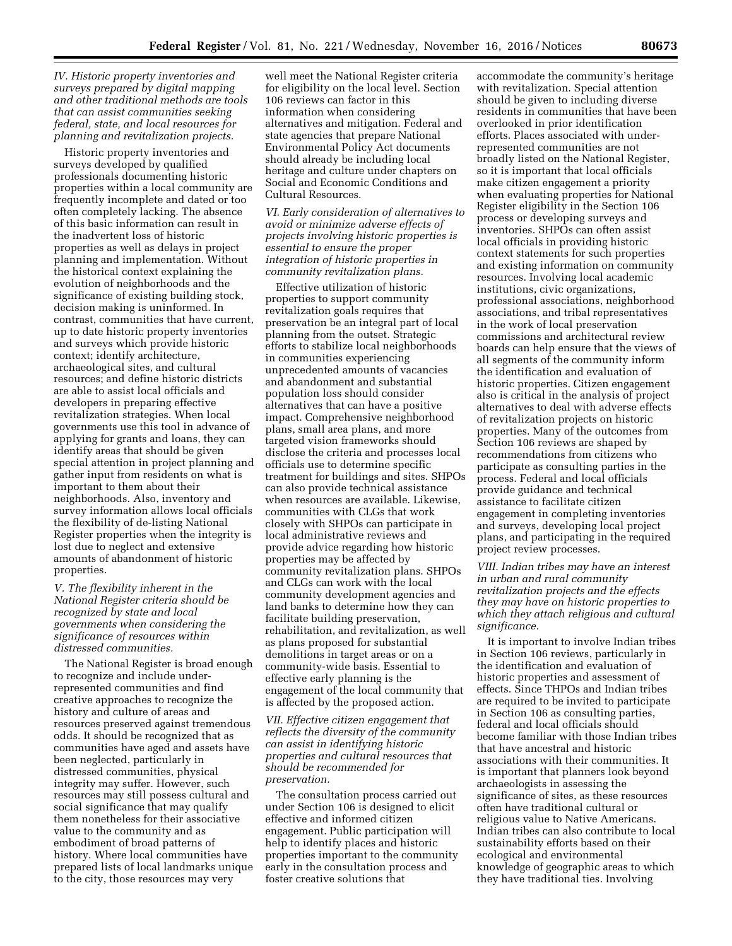*IV. Historic property inventories and surveys prepared by digital mapping and other traditional methods are tools that can assist communities seeking federal, state, and local resources for planning and revitalization projects.* 

Historic property inventories and surveys developed by qualified professionals documenting historic properties within a local community are frequently incomplete and dated or too often completely lacking. The absence of this basic information can result in the inadvertent loss of historic properties as well as delays in project planning and implementation. Without the historical context explaining the evolution of neighborhoods and the significance of existing building stock, decision making is uninformed. In contrast, communities that have current, up to date historic property inventories and surveys which provide historic context; identify architecture, archaeological sites, and cultural resources; and define historic districts are able to assist local officials and developers in preparing effective revitalization strategies. When local governments use this tool in advance of applying for grants and loans, they can identify areas that should be given special attention in project planning and gather input from residents on what is important to them about their neighborhoods. Also, inventory and survey information allows local officials the flexibility of de-listing National Register properties when the integrity is lost due to neglect and extensive amounts of abandonment of historic properties.

*V. The flexibility inherent in the National Register criteria should be recognized by state and local governments when considering the significance of resources within distressed communities.* 

The National Register is broad enough to recognize and include underrepresented communities and find creative approaches to recognize the history and culture of areas and resources preserved against tremendous odds. It should be recognized that as communities have aged and assets have been neglected, particularly in distressed communities, physical integrity may suffer. However, such resources may still possess cultural and social significance that may qualify them nonetheless for their associative value to the community and as embodiment of broad patterns of history. Where local communities have prepared lists of local landmarks unique to the city, those resources may very

well meet the National Register criteria for eligibility on the local level. Section 106 reviews can factor in this information when considering alternatives and mitigation. Federal and state agencies that prepare National Environmental Policy Act documents should already be including local heritage and culture under chapters on Social and Economic Conditions and Cultural Resources.

*VI. Early consideration of alternatives to avoid or minimize adverse effects of projects involving historic properties is essential to ensure the proper integration of historic properties in community revitalization plans.* 

Effective utilization of historic properties to support community revitalization goals requires that preservation be an integral part of local planning from the outset. Strategic efforts to stabilize local neighborhoods in communities experiencing unprecedented amounts of vacancies and abandonment and substantial population loss should consider alternatives that can have a positive impact. Comprehensive neighborhood plans, small area plans, and more targeted vision frameworks should disclose the criteria and processes local officials use to determine specific treatment for buildings and sites. SHPOs can also provide technical assistance when resources are available. Likewise, communities with CLGs that work closely with SHPOs can participate in local administrative reviews and provide advice regarding how historic properties may be affected by community revitalization plans. SHPOs and CLGs can work with the local community development agencies and land banks to determine how they can facilitate building preservation, rehabilitation, and revitalization, as well as plans proposed for substantial demolitions in target areas or on a community-wide basis. Essential to effective early planning is the engagement of the local community that is affected by the proposed action.

*VII. Effective citizen engagement that reflects the diversity of the community can assist in identifying historic properties and cultural resources that should be recommended for preservation.* 

The consultation process carried out under Section 106 is designed to elicit effective and informed citizen engagement. Public participation will help to identify places and historic properties important to the community early in the consultation process and foster creative solutions that

accommodate the community's heritage with revitalization. Special attention should be given to including diverse residents in communities that have been overlooked in prior identification efforts. Places associated with underrepresented communities are not broadly listed on the National Register, so it is important that local officials make citizen engagement a priority when evaluating properties for National Register eligibility in the Section 106 process or developing surveys and inventories. SHPOs can often assist local officials in providing historic context statements for such properties and existing information on community resources. Involving local academic institutions, civic organizations, professional associations, neighborhood associations, and tribal representatives in the work of local preservation commissions and architectural review boards can help ensure that the views of all segments of the community inform the identification and evaluation of historic properties. Citizen engagement also is critical in the analysis of project alternatives to deal with adverse effects of revitalization projects on historic properties. Many of the outcomes from Section 106 reviews are shaped by recommendations from citizens who participate as consulting parties in the process. Federal and local officials provide guidance and technical assistance to facilitate citizen engagement in completing inventories and surveys, developing local project plans, and participating in the required project review processes.

*VIII. Indian tribes may have an interest in urban and rural community revitalization projects and the effects they may have on historic properties to which they attach religious and cultural significance.* 

It is important to involve Indian tribes in Section 106 reviews, particularly in the identification and evaluation of historic properties and assessment of effects. Since THPOs and Indian tribes are required to be invited to participate in Section 106 as consulting parties, federal and local officials should become familiar with those Indian tribes that have ancestral and historic associations with their communities. It is important that planners look beyond archaeologists in assessing the significance of sites, as these resources often have traditional cultural or religious value to Native Americans. Indian tribes can also contribute to local sustainability efforts based on their ecological and environmental knowledge of geographic areas to which they have traditional ties. Involving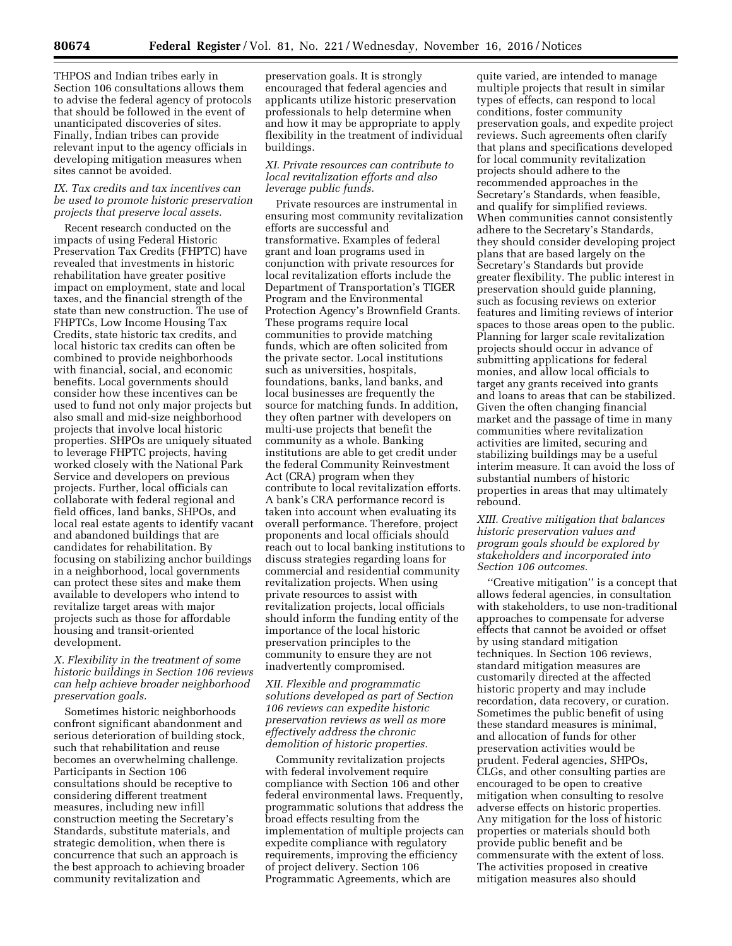THPOS and Indian tribes early in Section 106 consultations allows them to advise the federal agency of protocols that should be followed in the event of unanticipated discoveries of sites. Finally, Indian tribes can provide relevant input to the agency officials in developing mitigation measures when sites cannot be avoided.

# *IX. Tax credits and tax incentives can be used to promote historic preservation projects that preserve local assets.*

Recent research conducted on the impacts of using Federal Historic Preservation Tax Credits (FHPTC) have revealed that investments in historic rehabilitation have greater positive impact on employment, state and local taxes, and the financial strength of the state than new construction. The use of FHPTCs, Low Income Housing Tax Credits, state historic tax credits, and local historic tax credits can often be combined to provide neighborhoods with financial, social, and economic benefits. Local governments should consider how these incentives can be used to fund not only major projects but also small and mid-size neighborhood projects that involve local historic properties. SHPOs are uniquely situated to leverage FHPTC projects, having worked closely with the National Park Service and developers on previous projects. Further, local officials can collaborate with federal regional and field offices, land banks, SHPOs, and local real estate agents to identify vacant and abandoned buildings that are candidates for rehabilitation. By focusing on stabilizing anchor buildings in a neighborhood, local governments can protect these sites and make them available to developers who intend to revitalize target areas with major projects such as those for affordable housing and transit-oriented development.

# *X. Flexibility in the treatment of some historic buildings in Section 106 reviews can help achieve broader neighborhood preservation goals.*

Sometimes historic neighborhoods confront significant abandonment and serious deterioration of building stock, such that rehabilitation and reuse becomes an overwhelming challenge. Participants in Section 106 consultations should be receptive to considering different treatment measures, including new infill construction meeting the Secretary's Standards, substitute materials, and strategic demolition, when there is concurrence that such an approach is the best approach to achieving broader community revitalization and

preservation goals. It is strongly encouraged that federal agencies and applicants utilize historic preservation professionals to help determine when and how it may be appropriate to apply flexibility in the treatment of individual buildings.

# *XI. Private resources can contribute to local revitalization efforts and also leverage public funds.*

Private resources are instrumental in ensuring most community revitalization efforts are successful and transformative. Examples of federal grant and loan programs used in conjunction with private resources for local revitalization efforts include the Department of Transportation's TIGER Program and the Environmental Protection Agency's Brownfield Grants. These programs require local communities to provide matching funds, which are often solicited from the private sector. Local institutions such as universities, hospitals, foundations, banks, land banks, and local businesses are frequently the source for matching funds. In addition, they often partner with developers on multi-use projects that benefit the community as a whole. Banking institutions are able to get credit under the federal Community Reinvestment Act (CRA) program when they contribute to local revitalization efforts. A bank's CRA performance record is taken into account when evaluating its overall performance. Therefore, project proponents and local officials should reach out to local banking institutions to discuss strategies regarding loans for commercial and residential community revitalization projects. When using private resources to assist with revitalization projects, local officials should inform the funding entity of the importance of the local historic preservation principles to the community to ensure they are not inadvertently compromised.

*XII. Flexible and programmatic solutions developed as part of Section 106 reviews can expedite historic preservation reviews as well as more effectively address the chronic demolition of historic properties.* 

Community revitalization projects with federal involvement require compliance with Section 106 and other federal environmental laws. Frequently, programmatic solutions that address the broad effects resulting from the implementation of multiple projects can expedite compliance with regulatory requirements, improving the efficiency of project delivery. Section 106 Programmatic Agreements, which are

quite varied, are intended to manage multiple projects that result in similar types of effects, can respond to local conditions, foster community preservation goals, and expedite project reviews. Such agreements often clarify that plans and specifications developed for local community revitalization projects should adhere to the recommended approaches in the Secretary's Standards, when feasible, and qualify for simplified reviews. When communities cannot consistently adhere to the Secretary's Standards, they should consider developing project plans that are based largely on the Secretary's Standards but provide greater flexibility. The public interest in preservation should guide planning, such as focusing reviews on exterior features and limiting reviews of interior spaces to those areas open to the public. Planning for larger scale revitalization projects should occur in advance of submitting applications for federal monies, and allow local officials to target any grants received into grants and loans to areas that can be stabilized. Given the often changing financial market and the passage of time in many communities where revitalization activities are limited, securing and stabilizing buildings may be a useful interim measure. It can avoid the loss of substantial numbers of historic properties in areas that may ultimately rebound.

# *XIII. Creative mitigation that balances historic preservation values and program goals should be explored by stakeholders and incorporated into Section 106 outcomes.*

''Creative mitigation'' is a concept that allows federal agencies, in consultation with stakeholders, to use non-traditional approaches to compensate for adverse effects that cannot be avoided or offset by using standard mitigation techniques. In Section 106 reviews, standard mitigation measures are customarily directed at the affected historic property and may include recordation, data recovery, or curation. Sometimes the public benefit of using these standard measures is minimal, and allocation of funds for other preservation activities would be prudent. Federal agencies, SHPOs, CLGs, and other consulting parties are encouraged to be open to creative mitigation when consulting to resolve adverse effects on historic properties. Any mitigation for the loss of historic properties or materials should both provide public benefit and be commensurate with the extent of loss. The activities proposed in creative mitigation measures also should